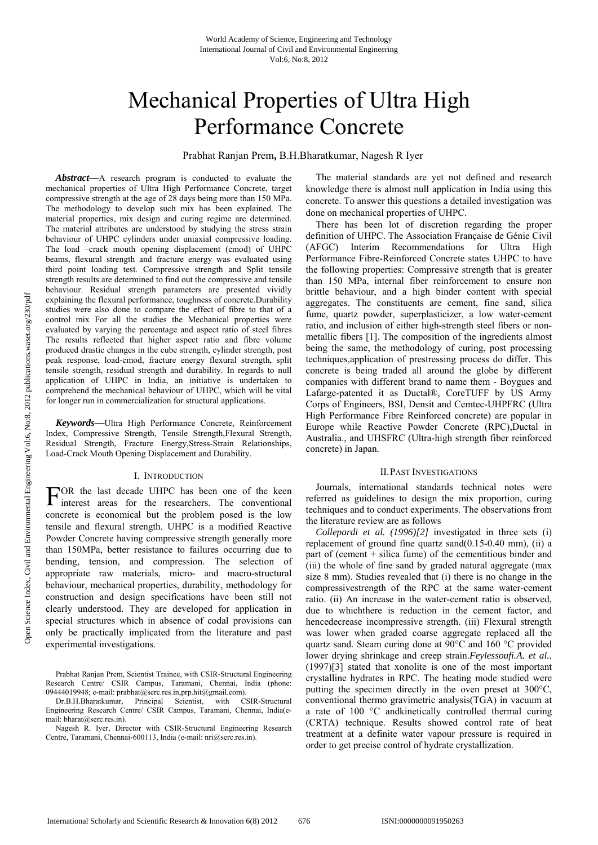# Mechanical Properties of Ultra High Performance Concrete

Prabhat Ranjan Prem**,** B.H.Bharatkumar, Nagesh R Iyer

*Abstract***—**A research program is conducted to evaluate the mechanical properties of Ultra High Performance Concrete, target compressive strength at the age of 28 days being more than 150 MPa. The methodology to develop such mix has been explained. The material properties, mix design and curing regime are determined. The material attributes are understood by studying the stress strain behaviour of UHPC cylinders under uniaxial compressive loading. The load –crack mouth opening displacement (cmod) of UHPC beams, flexural strength and fracture energy was evaluated using third point loading test. Compressive strength and Split tensile strength results are determined to find out the compressive and tensile behaviour. Residual strength parameters are presented vividly explaining the flexural performance, toughness of concrete.Durability studies were also done to compare the effect of fibre to that of a control mix For all the studies the Mechanical properties were evaluated by varying the percentage and aspect ratio of steel fibres The results reflected that higher aspect ratio and fibre volume produced drastic changes in the cube strength, cylinder strength, post peak response, load-cmod, fracture energy flexural strength, split tensile strength, residual strength and durability. In regards to null application of UHPC in India, an initiative is undertaken to comprehend the mechanical behaviour of UHPC, which will be vital for longer run in commercialization for structural applications.

*Keywords***—**Ultra High Performance Concrete, Reinforcement Index, Compressive Strength, Tensile Strength,Flexural Strength, Residual Strength, Fracture Energy,Stress-Strain Relationships, Load-Crack Mouth Opening Displacement and Durability.

# I. INTRODUCTION

OR the last decade UHPC has been one of the keen FOR the last decade UHPC has been one of the keen<br>interest areas for the researchers. The conventional concrete is economical but the problem posed is the low tensile and flexural strength. UHPC is a modified Reactive Powder Concrete having compressive strength generally more than 150MPa, better resistance to failures occurring due to bending, tension, and compression. The selection of appropriate raw materials, micro- and macro-structural behaviour, mechanical properties, durability, methodology for construction and design specifications have been still not clearly understood. They are developed for application in special structures which in absence of codal provisions can only be practically implicated from the literature and past experimental investigations.

Nagesh R. Iyer, Director with CSIR-Structural Engineering Research Centre, Taramani, Chennai-600113, India (e-mail: nri@serc.res.in).

The material standards are yet not defined and research knowledge there is almost null application in India using this concrete. To answer this questions a detailed investigation was done on mechanical properties of UHPC.

There has been lot of discretion regarding the proper definition of UHPC. The Association Française de Génie Civil (AFGC) Interim Recommendations for Ultra High Performance Fibre-Reinforced Concrete states UHPC to have the following properties: Compressive strength that is greater than 150 MPa, internal fiber reinforcement to ensure non brittle behaviour, and a high binder content with special aggregates. The constituents are cement, fine sand, silica fume, quartz powder, superplasticizer, a low water-cement ratio, and inclusion of either high-strength steel fibers or nonmetallic fibers [1]. The composition of the ingredients almost being the same, the methodology of curing, post processing techniques,application of prestressing process do differ. This concrete is being traded all around the globe by different companies with different brand to name them - Boygues and Lafarge-patented it as Ductal®, CoreTUFF by US Army Corps of Engineers, BSI, Densit and Cemtec-UHPFRC (Ultra High Performance Fibre Reinforced concrete) are popular in Europe while Reactive Powder Concrete (RPC),Ductal in Australia., and UHSFRC (Ultra-high strength fiber reinforced concrete) in Japan.

#### II.PAST INVESTIGATIONS

Journals, international standards technical notes were referred as guidelines to design the mix proportion, curing techniques and to conduct experiments. The observations from the literature review are as follows

*Collepardi et al. (1996)[2]* investigated in three sets (i) replacement of ground fine quartz sand(0.15-0.40 mm), (ii) a part of (cement + silica fume) of the cementitious binder and (iii) the whole of fine sand by graded natural aggregate (max size 8 mm). Studies revealed that (i) there is no change in the compressivestrength of the RPC at the same water-cement ratio. (ii) An increase in the water-cement ratio is observed, due to whichthere is reduction in the cement factor, and hencedecrease incompressive strength. (iii) Flexural strength was lower when graded coarse aggregate replaced all the quartz sand. Steam curing done at 90°C and 160 °C provided lower drying shrinkage and creep strain.*Feylessoufi.A. et al.*, (1997)[3] stated that xonolite is one of the most important crystalline hydrates in RPC. The heating mode studied were putting the specimen directly in the oven preset at 300°C, conventional thermo gravimetric analysis(TGA) in vacuum at a rate of 100 °C andkinetically controlled thermal curing (CRTA) technique. Results showed control rate of heat treatment at a definite water vapour pressure is required in order to get precise control of hydrate crystallization.

Prabhat Ranjan Prem, Scientist Trainee, with CSIR-Structural Engineering Research Centre/ CSIR Campus, Taramani, Chennai, India (phone: 09444019948; e-mail: prabhat@serc.res.in,prp.hit@gmail.com).

Dr.B.H.Bharatkumar, Principal Scientist, with CSIR-Structural Engineering Research Centre/ CSIR Campus, Taramani, Chennai, India(email: bharat@serc.res.in).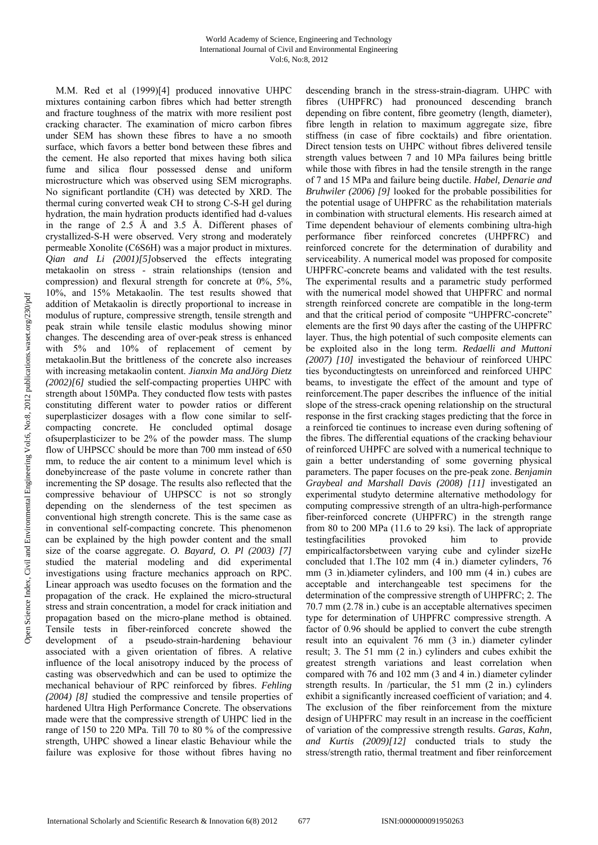M.M. Red et al (1999)[4] produced innovative UHPC mixtures containing carbon fibres which had better strength and fracture toughness of the matrix with more resilient post cracking character. The examination of micro carbon fibres under SEM has shown these fibres to have a no smooth surface, which favors a better bond between these fibres and the cement. He also reported that mixes having both silica fume and silica flour possessed dense and uniform microstructure which was observed using SEM micrographs. No significant portlandite (CH) was detected by XRD. The thermal curing converted weak CH to strong C-S-H gel during hydration, the main hydration products identified had d-values in the range of 2.5 Å and 3.5 Å. Different phases of crystallized-S-H were observed. Very strong and moderately permeable Xonolite (C6S6H) was a major product in mixtures. *Qian and Li (2001)[5]*observed the effects integrating metakaolin on stress - strain relationships (tension and compression) and flexural strength for concrete at 0%, 5%, 10%, and 15% Metakaolin. The test results showed that addition of Metakaolin is directly proportional to increase in modulus of rupture, compressive strength, tensile strength and peak strain while tensile elastic modulus showing minor changes. The descending area of over-peak stress is enhanced with 5% and 10% of replacement of cement by metakaolin.But the brittleness of the concrete also increases with increasing metakaolin content. *Jianxin Ma andJörg Dietz (2002)[6]* studied the self-compacting properties UHPC with strength about 150MPa. They conducted flow tests with pastes constituting different water to powder ratios or different superplasticizer dosages with a flow cone similar to selfcompacting concrete. He concluded optimal dosage ofsuperplasticizer to be 2% of the powder mass. The slump flow of UHPSCC should be more than 700 mm instead of 650 mm, to reduce the air content to a minimum level which is donebyincrease of the paste volume in concrete rather than incrementing the SP dosage. The results also reflected that the compressive behaviour of UHPSCC is not so strongly depending on the slenderness of the test specimen as conventional high strength concrete. This is the same case as in conventional self-compacting concrete. This phenomenon can be explained by the high powder content and the small size of the coarse aggregate. *O. Bayard, O. Pl (2003) [7]* studied the material modeling and did experimental investigations using fracture mechanics approach on RPC. Linear approach was usedto focuses on the formation and the propagation of the crack. He explained the micro-structural stress and strain concentration, a model for crack initiation and propagation based on the micro-plane method is obtained. Tensile tests in fiber-reinforced concrete showed the development of a pseudo-strain-hardening behaviour associated with a given orientation of fibres. A relative influence of the local anisotropy induced by the process of casting was observedwhich and can be used to optimize the mechanical behaviour of RPC reinforced by fibres. *Fehling (2004) [8]* studied the compressive and tensile properties of hardened Ultra High Performance Concrete. The observations made were that the compressive strength of UHPC lied in the range of 150 to 220 MPa. Till 70 to 80 % of the compressive strength, UHPC showed a linear elastic Behaviour while the failure was explosive for those without fibres having no

descending branch in the stress-strain-diagram. UHPC with fibres (UHPFRC) had pronounced descending branch depending on fibre content, fibre geometry (length, diameter), fibre length in relation to maximum aggregate size, fibre stiffness (in case of fibre cocktails) and fibre orientation. Direct tension tests on UHPC without fibres delivered tensile strength values between 7 and 10 MPa failures being brittle while those with fibres in had the tensile strength in the range of 7 and 15 MPa and failure being ductile. *Habel, Denarie and Bruhwiler (2006) [9]* looked for the probable possibilities for the potential usage of UHPFRC as the rehabilitation materials in combination with structural elements. His research aimed at Time dependent behaviour of elements combining ultra-high performance fiber reinforced concretes (UHPFRC) and reinforced concrete for the determination of durability and serviceability. A numerical model was proposed for composite UHPFRC-concrete beams and validated with the test results. The experimental results and a parametric study performed with the numerical model showed that UHPFRC and normal strength reinforced concrete are compatible in the long-term and that the critical period of composite "UHPFRC-concrete" elements are the first 90 days after the casting of the UHPFRC layer. Thus, the high potential of such composite elements can be exploited also in the long term. *Redaelli and Muttoni (2007) [10]* investigated the behaviour of reinforced UHPC ties byconductingtests on unreinforced and reinforced UHPC beams, to investigate the effect of the amount and type of reinforcement.The paper describes the influence of the initial slope of the stress-crack opening relationship on the structural response in the first cracking stages predicting that the force in a reinforced tie continues to increase even during softening of the fibres. The differential equations of the cracking behaviour of reinforced UHPFC are solved with a numerical technique to gain a better understanding of some governing physical parameters. The paper focuses on the pre-peak zone. *Benjamin Graybeal and Marshall Davis (2008) [11]* investigated an experimental studyto determine alternative methodology for computing compressive strength of an ultra-high-performance fiber-reinforced concrete (UHPFRC) in the strength range from 80 to 200 MPa (11.6 to 29 ksi). The lack of appropriate testingfacilities provoked him to provide empiricalfactorsbetween varying cube and cylinder sizeHe concluded that 1.The 102 mm (4 in.) diameter cylinders, 76 mm (3 in.)diameter cylinders, and 100 mm (4 in.) cubes are acceptable and interchangeable test specimens for the determination of the compressive strength of UHPFRC; 2. The 70.7 mm (2.78 in.) cube is an acceptable alternatives specimen type for determination of UHPFRC compressive strength. A factor of 0.96 should be applied to convert the cube strength result into an equivalent 76 mm (3 in.) diameter cylinder result; 3. The 51 mm (2 in.) cylinders and cubes exhibit the greatest strength variations and least correlation when compared with 76 and 102 mm (3 and 4 in.) diameter cylinder strength results. In /particular, the 51 mm (2 in.) cylinders exhibit a significantly increased coefficient of variation; and 4. The exclusion of the fiber reinforcement from the mixture design of UHPFRC may result in an increase in the coefficient of variation of the compressive strength results. *Garas, Kahn, and Kurtis (2009)[12]* conducted trials to study the stress/strength ratio, thermal treatment and fiber reinforcement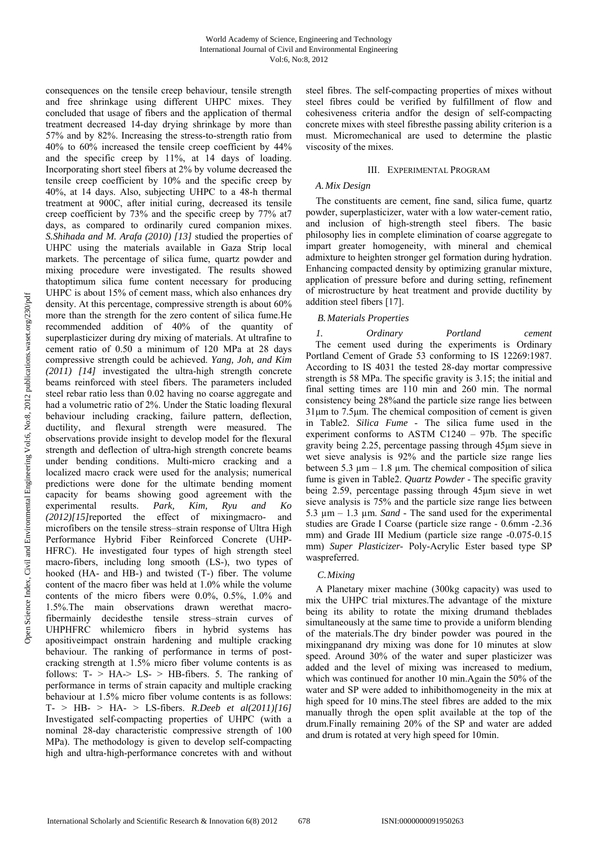consequences on the tensile creep behaviour, tensile strength and free shrinkage using different UHPC mixes. They concluded that usage of fibers and the application of thermal treatment decreased 14-day drying shrinkage by more than 57% and by 82%. Increasing the stress-to-strength ratio from 40% to 60% increased the tensile creep coefficient by 44% and the specific creep by 11%, at 14 days of loading. Incorporating short steel fibers at 2% by volume decreased the tensile creep coefficient by 10% and the specific creep by 40%, at 14 days. Also, subjecting UHPC to a 48-h thermal treatment at 900C, after initial curing, decreased its tensile creep coefficient by 73% and the specific creep by 77% at7 days, as compared to ordinarily cured companion mixes. *S.Shihada and M. Arafa (2010) [13]* studied the properties of UHPC using the materials available in Gaza Strip local markets. The percentage of silica fume, quartz powder and mixing procedure were investigated. The results showed thatoptimum silica fume content necessary for producing UHPC is about 15% of cement mass, which also enhances dry density. At this percentage, compressive strength is about 60% more than the strength for the zero content of silica fume.He recommended addition of 40% of the quantity of superplasticizer during dry mixing of materials. At ultrafine to cement ratio of 0.50 a minimum of 120 MPa at 28 days compressive strength could be achieved. *Yang, Joh, and Kim (2011) [14]* investigated the ultra-high strength concrete beams reinforced with steel fibers. The parameters included steel rebar ratio less than 0.02 having no coarse aggregate and had a volumetric ratio of 2%. Under the Static loading flexural behaviour including cracking, failure pattern, deflection, ductility, and flexural strength were measured. The observations provide insight to develop model for the flexural strength and deflection of ultra-high strength concrete beams under bending conditions. Multi-micro cracking and a localized macro crack were used for the analysis; numerical predictions were done for the ultimate bending moment capacity for beams showing good agreement with the experimental results. *Park, Kim, Ryu and Ko (2012)[15]*reported the effect of mixingmacro- and microfibers on the tensile stress–strain response of Ultra High Performance Hybrid Fiber Reinforced Concrete (UHP-HFRC). He investigated four types of high strength steel macro-fibers, including long smooth (LS-), two types of hooked (HA- and HB-) and twisted (T-) fiber. The volume content of the macro fiber was held at 1.0% while the volume contents of the micro fibers were 0.0%, 0.5%, 1.0% and 1.5%.The main observations drawn werethat macrofibermainly decidesthe tensile stress–strain curves of UHPHFRC whilemicro fibers in hybrid systems has apositiveimpact onstrain hardening and multiple cracking behaviour. The ranking of performance in terms of postcracking strength at 1.5% micro fiber volume contents is as follows:  $T - > HA \rightarrow LS - > HB$ -fibers. 5. The ranking of performance in terms of strain capacity and multiple cracking behaviour at 1.5% micro fiber volume contents is as follows: T- > HB- > HA- > LS-fibers. *R.Deeb et al(2011)[16]* Investigated self-compacting properties of UHPC (with a nominal 28-day characteristic compressive strength of 100 MPa). The methodology is given to develop self-compacting high and ultra-high-performance concretes with and without

steel fibres. The self-compacting properties of mixes without steel fibres could be verified by fulfillment of flow and cohesiveness criteria andfor the design of self-compacting concrete mixes with steel fibresthe passing ability criterion is a must. Micromechanical are used to determine the plastic viscosity of the mixes.

## III. EXPERIMENTAL PROGRAM

## *A.Mix Design*

The constituents are cement, fine sand, silica fume, quartz powder, superplasticizer, water with a low water-cement ratio, and inclusion of high-strength steel fibers. The basic philosophy lies in complete elimination of coarse aggregate to impart greater homogeneity, with mineral and chemical admixture to heighten stronger gel formation during hydration. Enhancing compacted density by optimizing granular mixture, application of pressure before and during setting, refinement of microstructure by heat treatment and provide ductility by addition steel fibers [17].

# *B.Materials Properties*

*1. Ordinary Portland cement* The cement used during the experiments is Ordinary Portland Cement of Grade 53 conforming to IS 12269:1987. According to IS 4031 the tested 28-day mortar compressive strength is 58 MPa. The specific gravity is 3.15; the initial and final setting times are 110 min and 260 min. The normal consistency being 28%and the particle size range lies between 31μm to 7.5μm. The chemical composition of cement is given in Table2. *Silica Fume* - The silica fume used in the experiment conforms to ASTM C1240 – 97b. The specific gravity being 2.25, percentage passing through 45μm sieve in wet sieve analysis is 92% and the particle size range lies between  $5.3 \text{ µm} - 1.8 \text{ µm}$ . The chemical composition of silica fume is given in Table2. *Quartz Powder* - The specific gravity being 2.59, percentage passing through 45μm sieve in wet sieve analysis is 75% and the particle size range lies between 5.3 µm – 1.3 µm. *Sand* - The sand used for the experimental studies are Grade I Coarse (particle size range - 0.6mm -2.36 mm) and Grade III Medium (particle size range -0.075-0.15 mm) *Super Plasticizer*- Poly-Acrylic Ester based type SP waspreferred.

# *C.Mixing*

A Planetary mixer machine (300kg capacity) was used to mix the UHPC trial mixtures.The advantage of the mixture being its ability to rotate the mixing drumand theblades simultaneously at the same time to provide a uniform blending of the materials.The dry binder powder was poured in the mixingpanand dry mixing was done for 10 minutes at slow speed. Around 30% of the water and super plasticizer was added and the level of mixing was increased to medium, which was continued for another 10 min.Again the 50% of the water and SP were added to inhibithomogeneity in the mix at high speed for 10 mins. The steel fibres are added to the mix manually throgh the open split available at the top of the drum.Finally remaining 20% of the SP and water are added and drum is rotated at very high speed for 10min.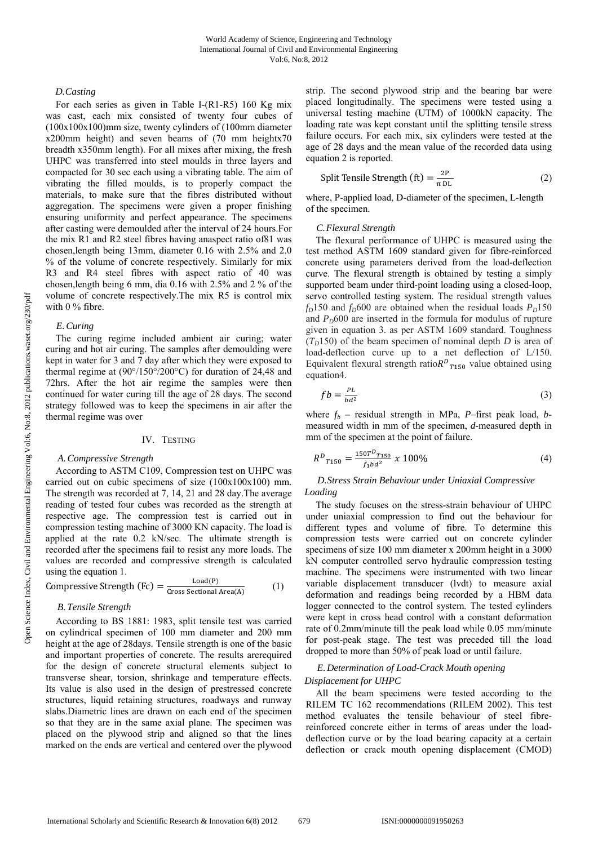# *D.Casting*

For each series as given in Table I-(R1-R5) 160 Kg mix was cast, each mix consisted of twenty four cubes of (100x100x100)mm size, twenty cylinders of (100mm diameter x200mm height) and seven beams of (70 mm heightx70 breadth x350mm length). For all mixes after mixing, the fresh UHPC was transferred into steel moulds in three layers and compacted for 30 sec each using a vibrating table. The aim of vibrating the filled moulds, is to properly compact the materials, to make sure that the fibres distributed without aggregation. The specimens were given a proper finishing ensuring uniformity and perfect appearance. The specimens after casting were demoulded after the interval of 24 hours.For the mix R1 and R2 steel fibres having anaspect ratio of81 was chosen,length being 13mm, diameter 0.16 with 2.5% and 2.0 % of the volume of concrete respectively. Similarly for mix R3 and R4 steel fibres with aspect ratio of 40 was chosen,length being 6 mm, dia 0.16 with 2.5% and 2 % of the volume of concrete respectively.The mix R5 is control mix with 0 % fibre.

## *E.Curing*

The curing regime included ambient air curing; water curing and hot air curing. The samples after demoulding were kept in water for 3 and 7 day after which they were exposed to thermal regime at (90°/150°/200°C) for duration of 24,48 and 72hrs. After the hot air regime the samples were then continued for water curing till the age of 28 days. The second strategy followed was to keep the specimens in air after the thermal regime was over

#### IV. TESTING

#### *A.Compressive Strength*

According to ASTM C109, Compression test on UHPC was carried out on cubic specimens of size (100x100x100) mm. The strength was recorded at 7, 14, 21 and 28 day.The average reading of tested four cubes was recorded as the strength at respective age. The compression test is carried out in compression testing machine of 3000 KN capacity. The load is applied at the rate 0.2 kN/sec. The ultimate strength is recorded after the specimens fail to resist any more loads. The values are recorded and compressive strength is calculated using the equation 1.

Compressive Strength (Fc) = 
$$
\frac{\text{Load}(P)}{\text{Cross Sectional Area}(A)}
$$
 (1)

# *B.Tensile Strength*

According to BS 1881: 1983, split tensile test was carried on cylindrical specimen of 100 mm diameter and 200 mm height at the age of 28days. Tensile strength is one of the basic and important properties of concrete. The results arerequired for the design of concrete structural elements subject to transverse shear, torsion, shrinkage and temperature effects. Its value is also used in the design of prestressed concrete structures, liquid retaining structures, roadways and runway slabs.Diametric lines are drawn on each end of the specimen so that they are in the same axial plane. The specimen was placed on the plywood strip and aligned so that the lines marked on the ends are vertical and centered over the plywood

strip. The second plywood strip and the bearing bar were placed longitudinally. The specimens were tested using a universal testing machine (UTM) of 1000kN capacity. The loading rate was kept constant until the splitting tensile stress failure occurs. For each mix, six cylinders were tested at the age of 28 days and the mean value of the recorded data using equation 2 is reported.

Split Tensile Strength (ft) = 
$$
\frac{2P}{\pi DL}
$$
 (2)

where, P-applied load, D-diameter of the specimen, L-length of the specimen.

# *C.Flexural Strength*

The flexural performance of UHPC is measured using the test method ASTM 1609 standard given for fibre-reinforced concrete using parameters derived from the load-deflection curve. The flexural strength is obtained by testing a simply supported beam under third-point loading using a closed-loop, servo controlled testing system. The residual strength values  $f_D$ 150 and  $f_D$ 600 are obtained when the residual loads  $P_D$ 150 and  $P_D$ 600 are inserted in the formula for modulus of rupture given in equation 3. as per ASTM 1609 standard. Toughness  $(T<sub>D</sub>150)$  of the beam specimen of nominal depth *D* is area of load-deflection curve up to a net deflection of L/150. Equivalent flexural strength ratio $R^{D}$ <sub>7150</sub> value obtained using equation4.

$$
fb = \frac{PL}{bd^2} \tag{3}
$$

where *fb –* residual strength in MPa, *P*–first peak load, *b*measured width in mm of the specimen, *d*-measured depth in mm of the specimen at the point of failure.

$$
R^D_{T150} = \frac{150T^D_{T150}}{f_1bd^2} \times 100\%
$$
 (4)

# *D.Stress Strain Behaviour under Uniaxial Compressive Loading*

The study focuses on the stress-strain behaviour of UHPC under uniaxial compression to find out the behaviour for different types and volume of fibre. To determine this compression tests were carried out on concrete cylinder specimens of size 100 mm diameter x 200mm height in a 3000 kN computer controlled servo hydraulic compression testing machine. The specimens were instrumented with two linear variable displacement transducer (lvdt) to measure axial deformation and readings being recorded by a HBM data logger connected to the control system. The tested cylinders were kept in cross head control with a constant deformation rate of 0.2mm/minute till the peak load while 0.05 mm/minute for post-peak stage. The test was preceded till the load dropped to more than 50% of peak load or until failure.

# *E.Determination of Load-Crack Mouth opening*

# *Displacement for UHPC*

All the beam specimens were tested according to the RILEM TC 162 recommendations (RILEM 2002). This test method evaluates the tensile behaviour of steel fibrereinforced concrete either in terms of areas under the loaddeflection curve or by the load bearing capacity at a certain deflection or crack mouth opening displacement (CMOD)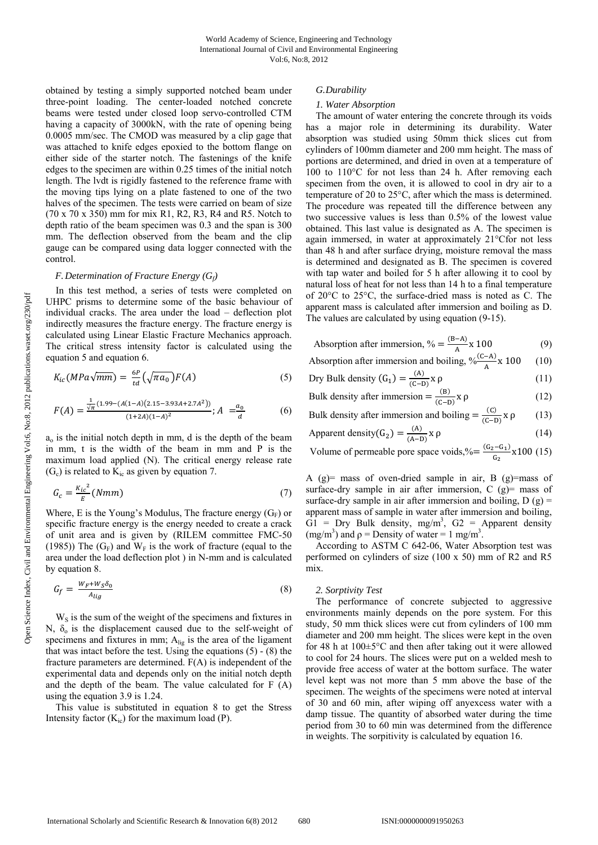obtained by testing a simply supported notched beam under three-point loading. The center-loaded notched concrete beams were tested under closed loop servo-controlled CTM having a capacity of 3000kN, with the rate of opening being 0.0005 mm/sec. The CMOD was measured by a clip gage that was attached to knife edges epoxied to the bottom flange on either side of the starter notch. The fastenings of the knife edges to the specimen are within 0.25 times of the initial notch length. The lvdt is rigidly fastened to the reference frame with the moving tips lying on a plate fastened to one of the two halves of the specimen. The tests were carried on beam of size (70 x 70 x 350) mm for mix R1, R2, R3, R4 and R5. Notch to depth ratio of the beam specimen was 0.3 and the span is 300 mm. The deflection observed from the beam and the clip gauge can be compared using data logger connected with the control.

#### *F.Determination of Fracture Energy (Gf)*

In this test method, a series of tests were completed on UHPC prisms to determine some of the basic behaviour of individual cracks. The area under the load – deflection plot indirectly measures the fracture energy. The fracture energy is calculated using Linear Elastic Fracture Mechanics approach. The critical stress intensity factor is calculated using the equation 5 and equation 6.

$$
K_{ic}(MPa\sqrt{mm}) = \frac{6P}{td}(\sqrt{\pi a_0})F(A)
$$
 (5)

$$
F(A) = \frac{\frac{1}{\sqrt{\pi}} (1.99 - (A(1-A)(2.15-3.93A+2.7A^2))}{(1+2A)(1-A)^2}; A = \frac{a_0}{d}
$$
 (6)

 $a<sub>o</sub>$  is the initial notch depth in mm, d is the depth of the beam in mm, t is the width of the beam in mm and P is the maximum load applied (N). The critical energy release rate  $(G<sub>c</sub>)$  is related to  $K<sub>ic</sub>$  as given by equation 7.

$$
G_c = \frac{{K_{ic}}^2}{E} (Nmm) \tag{7}
$$

Where, E is the Young's Modulus, The fracture energy  $(G_F)$  or specific fracture energy is the energy needed to create a crack of unit area and is given by (RILEM committee FMC-50 (1985)) The  $(G_F)$  and  $W_F$  is the work of fracture (equal to the area under the load deflection plot ) in N-mm and is calculated by equation 8.

$$
G_f = \frac{W_F + W_S \delta_0}{A_{lig}} \tag{8}
$$

 $W<sub>S</sub>$  is the sum of the weight of the specimens and fixtures in N,  $\delta$ <sub>o</sub> is the displacement caused due to the self-weight of specimens and fixtures in mm; Alig is the area of the ligament that was intact before the test. Using the equations (5) - (8) the fracture parameters are determined. F(A) is independent of the experimental data and depends only on the initial notch depth and the depth of the beam. The value calculated for F (A) using the equation 3.9 is 1.24.

This value is substituted in equation 8 to get the Stress Intensity factor  $(K_{ic})$  for the maximum load (P).

# *G.Durability*

# *1. Water Absorption*

The amount of water entering the concrete through its voids has a major role in determining its durability. Water absorption was studied using 50mm thick slices cut from cylinders of 100mm diameter and 200 mm height. The mass of portions are determined, and dried in oven at a temperature of 100 to 110°C for not less than 24 h. After removing each specimen from the oven, it is allowed to cool in dry air to a temperature of 20 to 25°C, after which the mass is determined. The procedure was repeated till the difference between any two successive values is less than 0.5% of the lowest value obtained. This last value is designated as A. The specimen is again immersed, in water at approximately 21°Cfor not less than 48 h and after surface drying, moisture removal the mass is determined and designated as B. The specimen is covered with tap water and boiled for 5 h after allowing it to cool by natural loss of heat for not less than 14 h to a final temperature of 20°C to 25°C, the surface-dried mass is noted as C. The apparent mass is calculated after immersion and boiling as D. The values are calculated by using equation (9-15).

| Absorption after immersion, $\% = \frac{(B-A)}{A} \times 100$ | (9) |
|---------------------------------------------------------------|-----|
|---------------------------------------------------------------|-----|

| Absorption after immersion and boiling, $\sqrt[6]{(-A)}$ x 100 (10) |  |
|---------------------------------------------------------------------|--|
|                                                                     |  |

$$
\text{Dry Bulk density } (G_1) = \frac{(A)}{(C-D)} \times \rho \tag{11}
$$

Bulk density after immersion = 
$$
\frac{(B)}{(C-D)}x \rho
$$
 (12)

Bulk density after immersion and boiling  $= \frac{(C)}{(C-D)} x \rho$  (13)  $\alpha$  (A)  $\alpha$  (A)

$$
Apparent density(G2) = \frac{(\mathbf{A})}{(\mathbf{A} - \mathbf{D})} \times \rho
$$
 (14)

Volume of permeable pore space voids,  $\frac{(G_2 - G_1)}{G_2}$  x 100 (15)

A (g)= mass of oven-dried sample in air, B (g)=mass of surface-dry sample in air after immersion,  $C$  (g) = mass of surface-dry sample in air after immersion and boiling,  $D(g)$  = apparent mass of sample in water after immersion and boiling,  $\overrightarrow{G1}$  = Dry Bulk density, mg/m<sup>3</sup>,  $G2$  = Apparent density  $(mg/m<sup>3</sup>)$  and  $\rho$  = Density of water = 1 mg/m<sup>3</sup>.

According to ASTM C 642-06, Water Absorption test was performed on cylinders of size (100 x 50) mm of R2 and R5 mix.

#### *2. Sorptivity Test*

The performance of concrete subjected to aggressive environments mainly depends on the pore system. For this study, 50 mm thick slices were cut from cylinders of 100 mm diameter and 200 mm height. The slices were kept in the oven for 48 h at  $100 \pm 5^{\circ}$ C and then after taking out it were allowed to cool for 24 hours. The slices were put on a welded mesh to provide free access of water at the bottom surface. The water level kept was not more than 5 mm above the base of the specimen. The weights of the specimens were noted at interval of 30 and 60 min, after wiping off anyexcess water with a damp tissue. The quantity of absorbed water during the time period from 30 to 60 min was determined from the difference in weights. The sorpitivity is calculated by equation 16.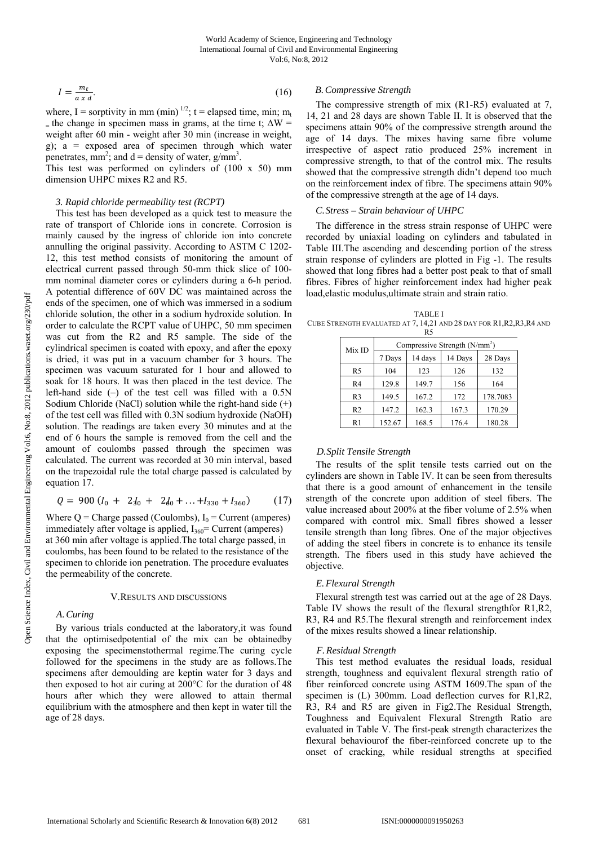$$
I = \frac{m_t}{a \, x \, d}.\tag{16}
$$

where, I = sorptivity in mm (min)<sup> $1/2$ </sup>; t = elapsed time, min; m<sub>t</sub> = the change in specimen mass in grams, at the time t;  $\Delta W =$ weight after 60 min - weight after 30 min (increase in weight, g); a = exposed area of specimen through which water penetrates,  $mm^2$ ; and  $d =$  density of water,  $g/mm^3$ .

This test was performed on cylinders of (100 x 50) mm dimension UHPC mixes R2 and R5.

#### *3. Rapid chloride permeability test (RCPT)*

This test has been developed as a quick test to measure the rate of transport of Chloride ions in concrete. Corrosion is mainly caused by the ingress of chloride ion into concrete annulling the original passivity. According to ASTM C 1202- 12, this test method consists of monitoring the amount of electrical current passed through 50-mm thick slice of 100 mm nominal diameter cores or cylinders during a 6-h period. A potential difference of 60V DC was maintained across the ends of the specimen, one of which was immersed in a sodium chloride solution, the other in a sodium hydroxide solution. In order to calculate the RCPT value of UHPC, 50 mm specimen was cut from the R2 and R5 sample. The side of the cylindrical specimen is coated with epoxy, and after the epoxy is dried, it was put in a vacuum chamber for 3 hours. The specimen was vacuum saturated for 1 hour and allowed to soak for 18 hours. It was then placed in the test device. The left-hand side  $(-)$  of the test cell was filled with a 0.5N Sodium Chloride (NaCl) solution while the right-hand side (+) of the test cell was filled with 0.3N sodium hydroxide (NaOH) solution. The readings are taken every 30 minutes and at the end of 6 hours the sample is removed from the cell and the amount of coulombs passed through the specimen was calculated. The current was recorded at 30 min interval, based on the trapezoidal rule the total charge passed is calculated by equation 17.

$$
Q = 900 (I_0 + 2J_0 + 2J_0 + \dots + I_{330} + I_{360}) \tag{17}
$$

Where  $Q =$  Charge passed (Coulombs),  $I_0 =$  Current (amperes) immediately after voltage is applied,  $I_{360}$ = Current (amperes) at 360 min after voltage is applied.The total charge passed, in coulombs, has been found to be related to the resistance of the specimen to chloride ion penetration. The procedure evaluates the permeability of the concrete.

#### V.RESULTS AND DISCUSSIONS

# *A.Curing*

By various trials conducted at the laboratory,it was found that the optimisedpotential of the mix can be obtainedby exposing the specimenstothermal regime.The curing cycle followed for the specimens in the study are as follows.The specimens after demoulding are keptin water for 3 days and then exposed to hot air curing at 200°C for the duration of 48 hours after which they were allowed to attain thermal equilibrium with the atmosphere and then kept in water till the age of 28 days.

# *B.Compressive Strength*

The compressive strength of mix (R1-R5) evaluated at 7, 14, 21 and 28 days are shown Table II. It is observed that the specimens attain 90% of the compressive strength around the age of 14 days. The mixes having same fibre volume irrespective of aspect ratio produced 25% increment in compressive strength, to that of the control mix. The results showed that the compressive strength didn't depend too much on the reinforcement index of fibre. The specimens attain 90% of the compressive strength at the age of 14 days.

#### *C.Stress – Strain behaviour of UHPC*

The difference in the stress strain response of UHPC were recorded by uniaxial loading on cylinders and tabulated in Table III.The ascending and descending portion of the stress strain response of cylinders are plotted in Fig -1. The results showed that long fibres had a better post peak to that of small fibres. Fibres of higher reinforcement index had higher peak load,elastic modulus,ultimate strain and strain ratio.

TABLE I CUBE STRENGTH EVALUATED AT 7, 14,21 AND 28 DAY FOR R1,R2,R3,R4 AND  $R<sub>5</sub>$ 

| Mix ID         | Compressive Strength $(N/mm2)$ |         |         |          |  |  |  |  |
|----------------|--------------------------------|---------|---------|----------|--|--|--|--|
|                | 7 Days                         | 14 days | 14 Days | 28 Days  |  |  |  |  |
| R5             | 104                            | 123     | 126     | 132      |  |  |  |  |
| R4             | 129.8                          | 149.7   | 156     | 164      |  |  |  |  |
| R <sub>3</sub> | 149.5                          | 167.2   | 172     | 178.7083 |  |  |  |  |
| R <sub>2</sub> | 147.2                          | 162.3   | 167.3   | 170.29   |  |  |  |  |
| R1             | 152.67                         | 168.5   | 176.4   | 180.28   |  |  |  |  |

#### *D.Split Tensile Strength*

The results of the split tensile tests carried out on the cylinders are shown in Table IV. It can be seen from theresults that there is a good amount of enhancement in the tensile strength of the concrete upon addition of steel fibers. The value increased about 200% at the fiber volume of 2.5% when compared with control mix. Small fibres showed a lesser tensile strength than long fibres. One of the major objectives of adding the steel fibers in concrete is to enhance its tensile strength. The fibers used in this study have achieved the objective.

#### *E.Flexural Strength*

Flexural strength test was carried out at the age of 28 Days. Table IV shows the result of the flexural strengthfor R1,R2, R3, R4 and R5.The flexural strength and reinforcement index of the mixes results showed a linear relationship.

#### *F.Residual Strength*

This test method evaluates the residual loads, residual strength, toughness and equivalent flexural strength ratio of fiber reinforced concrete using ASTM 1609.The span of the specimen is (L) 300mm. Load deflection curves for R1,R2, R3, R4 and R5 are given in Fig2.The Residual Strength, Toughness and Equivalent Flexural Strength Ratio are evaluated in Table V. The first-peak strength characterizes the flexural behaviourof the fiber-reinforced concrete up to the onset of cracking, while residual strengths at specified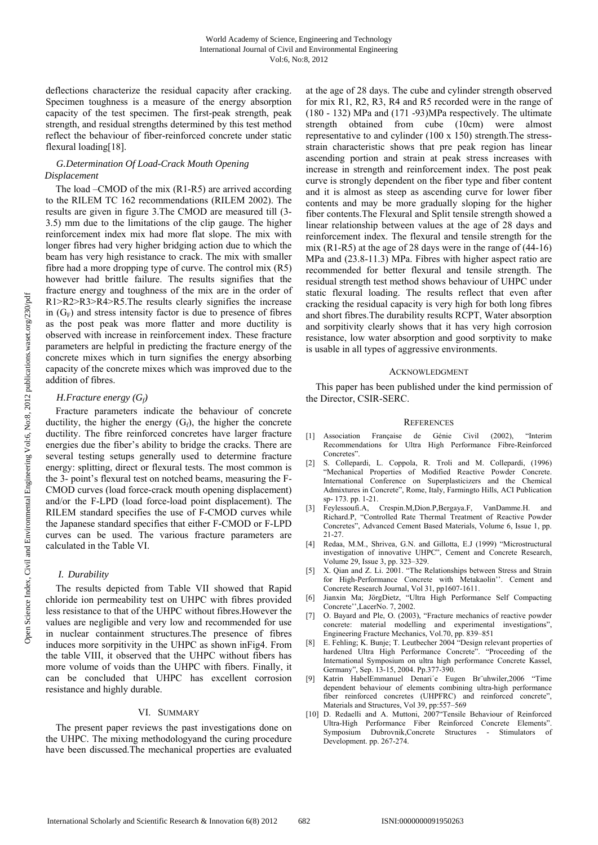deflections characterize the residual capacity after cracking. Specimen toughness is a measure of the energy absorption capacity of the test specimen. The first-peak strength, peak strength, and residual strengths determined by this test method reflect the behaviour of fiber-reinforced concrete under static flexural loading[18].

# *G.Determination Of Load-Crack Mouth Opening Displacement*

The load –CMOD of the mix (R1-R5) are arrived according to the RILEM TC 162 recommendations (RILEM 2002). The results are given in figure 3.The CMOD are measured till (3- 3.5) mm due to the limitations of the clip gauge. The higher reinforcement index mix had more flat slope. The mix with longer fibres had very higher bridging action due to which the beam has very high resistance to crack. The mix with smaller fibre had a more dropping type of curve. The control mix (R5) however had brittle failure. The results signifies that the fracture energy and toughness of the mix are in the order of R1>R2>R3>R4>R5.The results clearly signifies the increase in  $(G_F)$  and stress intensity factor is due to presence of fibres as the post peak was more flatter and more ductility is observed with increase in reinforcement index. These fracture parameters are helpful in predicting the fracture energy of the concrete mixes which in turn signifies the energy absorbing capacity of the concrete mixes which was improved due to the addition of fibres.

# *H.Fracture energy (Gf)*

Fracture parameters indicate the behaviour of concrete ductility, the higher the energy  $(G_f)$ , the higher the concrete ductility. The fibre reinforced concretes have larger fracture energies due the fiber's ability to bridge the cracks. There are several testing setups generally used to determine fracture energy: splitting, direct or flexural tests. The most common is the 3- point's flexural test on notched beams, measuring the F-CMOD curves (load force-crack mouth opening displacement) and/or the F-LPD (load force-load point displacement). The RILEM standard specifies the use of F-CMOD curves while the Japanese standard specifies that either F-CMOD or F-LPD curves can be used. The various fracture parameters are calculated in the Table VI.

# *I. Durability*

The results depicted from Table VII showed that Rapid chloride ion permeability test on UHPC with fibres provided less resistance to that of the UHPC without fibres.However the values are negligible and very low and recommended for use in nuclear containment structures.The presence of fibres induces more sorpitivity in the UHPC as shown inFig4. From the table VIII, it observed that the UHPC without fibers has more volume of voids than the UHPC with fibers. Finally, it can be concluded that UHPC has excellent corrosion resistance and highly durable.

# VI. SUMMARY

The present paper reviews the past investigations done on the UHPC. The mixing methodologyand the curing procedure have been discussed.The mechanical properties are evaluated at the age of 28 days. The cube and cylinder strength observed for mix R1, R2, R3, R4 and R5 recorded were in the range of (180 - 132) MPa and (171 -93)MPa respectively. The ultimate strength obtained from cube (10cm) were almost representative to and cylinder (100 x 150) strength.The stressstrain characteristic shows that pre peak region has linear ascending portion and strain at peak stress increases with increase in strength and reinforcement index. The post peak curve is strongly dependent on the fiber type and fiber content and it is almost as steep as ascending curve for lower fiber contents and may be more gradually sloping for the higher fiber contents.The Flexural and Split tensile strength showed a linear relationship between values at the age of 28 days and reinforcement index. The flexural and tensile strength for the mix (R1-R5) at the age of 28 days were in the range of (44-16) MPa and (23.8-11.3) MPa. Fibres with higher aspect ratio are recommended for better flexural and tensile strength. The residual strength test method shows behaviour of UHPC under static flexural loading. The results reflect that even after cracking the residual capacity is very high for both long fibres and short fibres.The durability results RCPT, Water absorption and sorpitivity clearly shows that it has very high corrosion resistance, low water absorption and good sorptivity to make is usable in all types of aggressive environments.

# ACKNOWLEDGMENT

This paper has been published under the kind permission of the Director, CSIR-SERC.

# **REFERENCES**

- [1] Association Française de Génie Civil (2002), "Interim Recommendations for Ultra High Performance Fibre-Reinforced Concretes".
- [2] S. Collepardi, L. Coppola, R. Troli and M. Collepardi, (1996) "Mechanical Properties of Modified Reactive Powder Concrete. International Conference on Superplasticizers and the Chemical Admixtures in Concrete", Rome, Italy, Farmingto Hills, ACI Publication sp- 173. pp. 1-21.
- [3] Feylessoufi.A, Crespin.M,Dion.P,Bergaya.F, VanDamme.H. and Richard.P, "Controlled Rate Thermal Treatment of Reactive Powder Concretes", Advanced Cement Based Materials, Volume 6, Issue 1, pp. 21-27.
- [4] Redaa, M.M., Shrivea, G.N. and Gillotta, E.J (1999) "Microstructural investigation of innovative UHPC", Cement and Concrete Research, Volume 29, Issue 3, pp. 323–329.
- [5] X. Qian and Z. Li. 2001. "The Relationships between Stress and Strain for High-Performance Concrete with Metakaolin''. Cement and Concrete Research Journal, Vol 31, pp1607-1611.
- [6] Jianxin Ma; JörgDietz, "Ultra High Performance Self Compacting Concrete'',LacerNo. 7, 2002.
- [7] O. Bayard and Ple, O. (2003), "Fracture mechanics of reactive powder concrete: material modelling and experimental investigations", Engineering Fracture Mechanics, Vol.70, pp. 839–851
- [8] E. Fehling; K. Bunje; T. Leutbecher 2004 "Design relevant properties of hardened Ultra High Performance Concrete". "Proceeding of the International Symposium on ultra high performance Concrete Kassel, Germany", Sep. 13-15, 2004. Pp.377-390.
- Katrin HabelEmmanuel Denari'e Eugen Br"uhwiler,2006 "Time dependent behaviour of elements combining ultra-high performance fiber reinforced concretes (UHPFRC) and reinforced concrete", Materials and Structures, Vol 39, pp:557–569
- [10] D. Redaelli and A. Muttoni, 2007"Tensile Behaviour of Reinforced Ultra-High Performance Fiber Reinforced Concrete Elements". Symposium Dubrovnik,Concrete Structures - Stimulators of Development. pp. 267-274.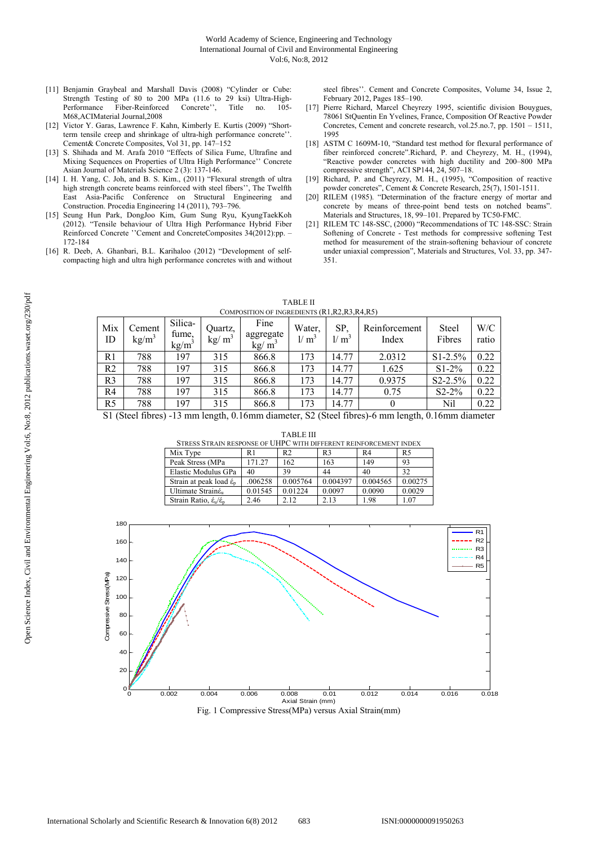- [11] Benjamin Graybeal and Marshall Davis (2008) "Cylinder or Cube: Strength Testing of 80 to 200 MPa (11.6 to 29 ksi) Ultra-High-<br>Performance Fiber-Reinforced Concrete''. Title no. 105-Performance Fiber-Reinforced Concrete'', Title no. M68,ACIMaterial Journal,2008
- [12] Victor Y. Garas, Lawrence F. Kahn, Kimberly E. Kurtis (2009) "Shortterm tensile creep and shrinkage of ultra-high performance concrete''. Cement& Concrete Composites, Vol 31, pp. 147–152
- [13] S. Shihada and M. Arafa 2010 "Effects of Silica Fume, Ultrafine and Mixing Sequences on Properties of Ultra High Performance'' Concrete Asian Journal of Materials Science 2 (3): 137-146.
- [14] I. H. Yang, C. Joh, and B. S. Kim., (2011) "Flexural strength of ultra high strength concrete beams reinforced with steel fibers'', The Twelfth East Asia-Pacific Conference on Structural Engineering and Construction. Procedia Engineering 14 (2011), 793–796.
- [15] Seung Hun Park, DongJoo Kim, Gum Sung Ryu, KyungTaekKoh (2012). "Tensile behaviour of Ultra High Performance Hybrid Fiber Reinforced Concrete ''Cement and ConcreteComposites 34(2012):pp. – 172-184
- [16] R. Deeb, A. Ghanbari, B.L. Karihaloo (2012) "Development of selfcompacting high and ultra high performance concretes with and without

Quartz,  $kg/m<sup>3</sup>$ 

steel fibres''. Cement and Concrete Composites, Volume 34, Issue 2, February 2012, Pages 185–190.

- [17] Pierre Richard, Marcel Cheyrezy 1995, scientific division Bouygues, 78061 StQuentin En Yvelines, France, Composition Of Reactive Powder Concretes, Cement and concrete research, vol.25.no.7, pp. 1501 – 1511, 1995
- [18] ASTM C 1609M-10, "Standard test method for flexural performance of fiber reinforced concrete".Richard, P. and Cheyrezy, M. H., (1994), "Reactive powder concretes with high ductility and 200–800 MPa compressive strength", ACI SP144, 24, 507–18.
- [19] Richard, P. and Cheyrezy, M. H., (1995), "Composition of reactive powder concretes", Cement & Concrete Research, 25(7), 1501-1511.
- [20] RILEM (1985). "Determination of the fracture energy of mortar and concrete by means of three-point bend tests on notched beams". Materials and Structures, 18, 99–101. Prepared by TC50-FMC.
- [21] RILEM TC 148-SSC, (2000) "Recommendations of TC 148-SSC: Strain Softening of Concrete - Test methods for compressive softening Test method for measurement of the strain-softening behaviour of concrete under uniaxial compression", Materials and Structures, Vol. 33, pp. 347- 351.

Steel Fibres

W/C ratio

| Mix<br>ID      | Cement<br>$\text{kg/m}^3$ | Silica-<br>fume,<br>kg/m <sup>3</sup>                                              |
|----------------|---------------------------|------------------------------------------------------------------------------------|
| R <sub>1</sub> | 788                       | 197                                                                                |
| R2             | 788                       | 197                                                                                |
| R <sub>3</sub> | 788                       | 197                                                                                |
| R4             | 788                       | 197                                                                                |
| R <sub>5</sub> | 788                       | 197                                                                                |
|                | S1 (Steel fibres) -13 mr  |                                                                                    |
|                |                           | <b>STRES</b><br>Mix Ty<br>Peak St<br>Elastic l<br>Strain at<br>Ultimat<br>Strain R |
| 180            |                           | T                                                                                  |
| 160            |                           |                                                                                    |
| 140            |                           |                                                                                    |

| <b>TABLE II</b>                                 |  |
|-------------------------------------------------|--|
| COMPOSITION OF INGREDIENTS (R1, R2, R3, R4, R5) |  |

Water,  $1/m<sup>3</sup>$ 

SP,  $1/m<sup>3</sup>$  Reinforcement Index

Fine aggregate

| ΙD                                                                                            | кg/ш | $k\text{g/m}^3$ | кg/ш | kg/ m | $\mathbf{v}$ $\mathbf{m}$ | 17. Ш | пиех   | <b>FIDIES</b> | ratio |  |
|-----------------------------------------------------------------------------------------------|------|-----------------|------|-------|---------------------------|-------|--------|---------------|-------|--|
| R1                                                                                            | 788  | 197             | 315  | 866.8 | 173                       | 14.77 | 2.0312 | $S1-2.5%$     | 0.22  |  |
| R <sub>2</sub>                                                                                | 788  | 197             | 315  | 866.8 | 173                       | 14.77 | 1.625  | $S1-2%$       | 0.22  |  |
| R <sub>3</sub>                                                                                | 788  | 197             | 315  | 866.8 | 173                       | 14.77 | 0.9375 | $S2 - 2.5%$   | 0.22  |  |
| R <sub>4</sub>                                                                                | 788  | 197             | 315  | 866.8 | 173                       | 14.77 | 0.75   | $S2 - 2\%$    | 0.22  |  |
| R <sub>5</sub>                                                                                | 788  | 197             | 315  | 866.8 | 173                       | 14.77 |        | Nil           | 0.22  |  |
| S1 (Steel fibres) -13 mm length 0 16mm diameter S2 (Steel fibres)-6 mm length 0 16mm diameter |      |                 |      |       |                           |       |        |               |       |  |

S1 (Steel fibres) -13 mm length, 0.16mm diameter, S2 (Steel fibres)-6 mm length, 0.16mm diameter

| STRESS STRAIN RESPONSE OF UHPC WITH DIFFERENT REINFORCEMENT INDEX |         |          |                |                |         |  |  |  |  |
|-------------------------------------------------------------------|---------|----------|----------------|----------------|---------|--|--|--|--|
| Mix Type                                                          | R 1     | R2       | R <sub>3</sub> | R <sub>4</sub> | R5      |  |  |  |  |
| Peak Stress (MPa                                                  | 171.27  | 162      | 163            | 149            | 93      |  |  |  |  |
| Elastic Modulus GPa                                               | 40      | 39       | 44             | 40             | 32      |  |  |  |  |
| Strain at peak load $\acute{\epsilon}_{p}$                        | .006258 | 0.005764 | 0.004397       | 0.004565       | 0.00275 |  |  |  |  |
| Ultimate Strainé <sub>n</sub>                                     | 0.01545 | 0.01224  | 0.0097         | 0.0090         | 0.0029  |  |  |  |  |
| Strain Ratio, $\dot{\epsilon}_0/\dot{\epsilon}_0$                 | 2.46    | 2.12     | 2.13           | 1.98           | 1.07    |  |  |  |  |

TABLE III

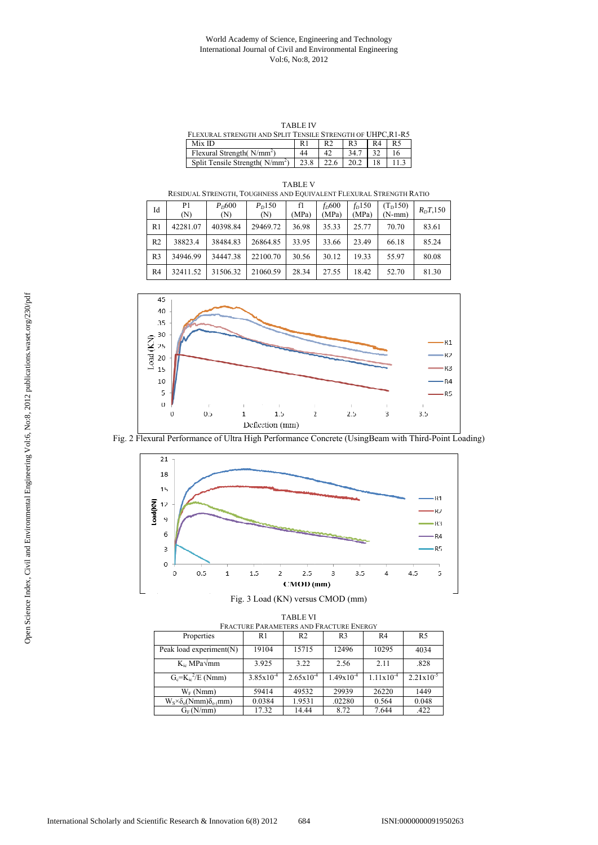## World Academy of Science, Engineering and Technology International Journal of Civil and Environmental Engineering Vol:6, No:8, 2012

TABLE IV

| TABLE IV                                                    |      |                |      |    |    |  |  |  |
|-------------------------------------------------------------|------|----------------|------|----|----|--|--|--|
| FLEXURAL STRENGTH AND SPLIT TENSILE STRENGTH OF UHPC, R1-R5 |      |                |      |    |    |  |  |  |
| Mix ID                                                      | R1   | R <sub>2</sub> | R3   | R4 | R5 |  |  |  |
| Flexural Strength( $N/mm2$ )                                | 44   | 42             | 34.7 |    | 16 |  |  |  |
| Split Tensile Strength $(N/mm^2)$                           | 23.8 | 22.6           | 202  |    |    |  |  |  |

| TABLE V<br>RESIDUAL STRENGTH, TOUGHNESS AND EQUIVALENT FLEXURAL STRENGTH RATIO |                      |                          |                           |       |       |  |                  |                                              |
|--------------------------------------------------------------------------------|----------------------|--------------------------|---------------------------|-------|-------|--|------------------|----------------------------------------------|
| Id                                                                             | P <sub>1</sub><br>N) | P <sub>D</sub> 600<br>N) | P <sub>n</sub> 150<br>(N) | (MPa) | (MPa) |  | $(MPa)$ $(N-mm)$ | $f_D 600$ $f_D 150$ $(T_D 150)$ $R_D T, 150$ |

| 1u             | (N)      | (N)      | (N)      | (MPa) | (MPa) | (MPa) | $(N-mm)$ | $n_{D}I$ , 190 |
|----------------|----------|----------|----------|-------|-------|-------|----------|----------------|
| R <sub>1</sub> | 42281.07 | 40398.84 | 29469.72 | 36.98 | 35.33 | 25.77 | 70.70    | 83.61          |
| R <sub>2</sub> | 38823.4  | 38484.83 | 26864.85 | 33.95 | 33.66 | 23.49 | 66.18    | 85.24          |
| R <sub>3</sub> | 34946.99 | 34447.38 | 22100.70 | 30.56 | 30.12 | 19.33 | 55.97    | 80.08          |
| R <sub>4</sub> | 32411.52 | 31506.32 | 21060.59 | 28.34 | 27.55 | 18.42 | 52.70    | 81.30          |



Fig. 2 Flexural Performance of Ultra High Performance Concrete (UsingBeam with Third-Point Loading)



| <b>TABLE VI</b><br>FRACTURE PARAMETERS AND FRACTURE ENERGY |                       |                       |                |                |                       |  |  |  |  |
|------------------------------------------------------------|-----------------------|-----------------------|----------------|----------------|-----------------------|--|--|--|--|
| Properties                                                 | R1                    | R <sub>2</sub>        | R <sub>3</sub> | R4             | R5                    |  |  |  |  |
| Peak load experiment $(N)$                                 | 19104                 | 15715                 | 12496          | 10295          | 4034                  |  |  |  |  |
| $K_{i c}$ MPa $\sqrt{mm}$                                  | 3.925                 | 3.22                  | 2.56           | 2.11           | .828                  |  |  |  |  |
| $G_c = K_{ic}^2/E$ (Nmm)                                   | $3.85 \times 10^{-4}$ | $2.65 \times 10^{-4}$ | $1.49x10^{-4}$ | $1.11x10^{-4}$ | $2.21 \times 10^{-5}$ |  |  |  |  |
| $W_F$ (Nmm)                                                | 59414                 | 49532                 | 29939          | 26220          | 1449                  |  |  |  |  |
| $W_S \times \delta_o(Nmm) \delta_{o(mm)}$                  | 0.0384                | 1.9531                | .02280         | 0.564          | 0.048                 |  |  |  |  |
| $G_F(N/mm)$                                                | 17.32                 | 14.44                 | 8.72           | 7.644          | .422                  |  |  |  |  |